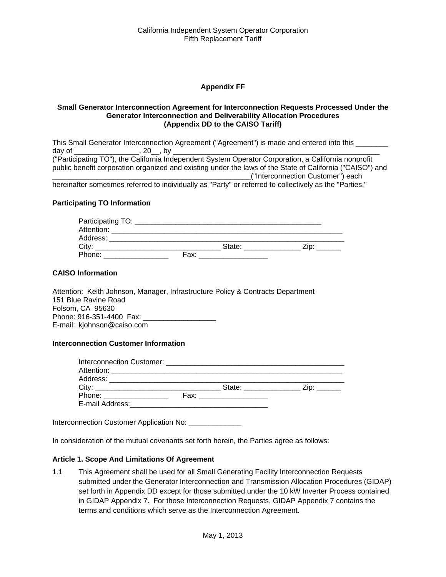# **Appendix FF**

#### **Small Generator Interconnection Agreement for Interconnection Requests Processed Under the Generator Interconnection and Deliverability Allocation Procedures (Appendix DD to the CAISO Tariff)**

This Small Generator Interconnection Agreement ("Agreement") is made and entered into this \_\_\_\_\_\_\_\_ day of \_\_\_\_\_\_\_\_\_\_\_\_\_\_\_\_, 20\_\_, by \_\_\_\_\_\_\_\_\_\_\_\_\_\_\_\_\_\_\_\_\_\_\_\_\_\_\_\_\_\_\_\_\_\_\_\_\_\_\_\_\_\_\_\_\_\_\_\_\_\_\_ ("Participating TO"), the California Independent System Operator Corporation, a California nonprofit public benefit corporation organized and existing under the laws of the State of California ("CAISO") and \_\_\_\_\_\_\_\_\_\_\_\_\_\_\_\_\_\_\_\_\_\_\_\_\_\_\_\_\_\_\_\_\_\_\_\_\_\_\_\_\_\_\_\_\_\_\_\_\_("Interconnection Customer") each hereinafter sometimes referred to individually as "Party" or referred to collectively as the "Parties."

#### **Participating TO Information**

| Participating TO: |      |        |      |
|-------------------|------|--------|------|
| Attention:        |      |        |      |
| Address:          |      |        |      |
| City:             |      | State: | `ip: |
| Phone:            | Fax: |        |      |

#### **CAISO Information**

Attention: Keith Johnson, Manager, Infrastructure Policy & Contracts Department 151 Blue Ravine Road Folsom, CA 95630 Phone: 916-351-4400 Fax: E-mail: kjohnson@caiso.com

#### **Interconnection Customer Information**

| Interconnection Customer: with a state of the control of the control of the control of the control of the control of the control of the control of the control of the control of the control of the control of the control of |                                                                                                                       |        |  |
|-------------------------------------------------------------------------------------------------------------------------------------------------------------------------------------------------------------------------------|-----------------------------------------------------------------------------------------------------------------------|--------|--|
| Attention:                                                                                                                                                                                                                    | <u> 1980 - Jan Sterlân yn Sterlân ûntstier fan it ferstjin fan it ferstjin fan it ferstjin fan it ferstjin fan it</u> |        |  |
| Address:                                                                                                                                                                                                                      |                                                                                                                       |        |  |
| City <sup>-</sup>                                                                                                                                                                                                             |                                                                                                                       | State: |  |
| Phone:                                                                                                                                                                                                                        | Fax:                                                                                                                  |        |  |
| E-mail Address:                                                                                                                                                                                                               |                                                                                                                       |        |  |

Interconnection Customer Application No: \_\_\_\_\_\_\_\_\_\_\_\_\_\_

In consideration of the mutual covenants set forth herein, the Parties agree as follows:

#### **Article 1. Scope And Limitations Of Agreement**

1.1 This Agreement shall be used for all Small Generating Facility Interconnection Requests submitted under the Generator Interconnection and Transmission Allocation Procedures (GIDAP) set forth in Appendix DD except for those submitted under the 10 kW Inverter Process contained in GIDAP Appendix 7. For those Interconnection Requests, GIDAP Appendix 7 contains the terms and conditions which serve as the Interconnection Agreement.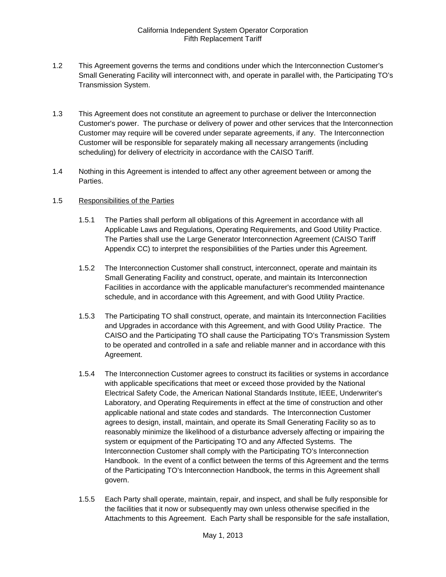- 1.2 This Agreement governs the terms and conditions under which the Interconnection Customer's Small Generating Facility will interconnect with, and operate in parallel with, the Participating TO's Transmission System.
- 1.3 This Agreement does not constitute an agreement to purchase or deliver the Interconnection Customer's power. The purchase or delivery of power and other services that the Interconnection Customer may require will be covered under separate agreements, if any. The Interconnection Customer will be responsible for separately making all necessary arrangements (including scheduling) for delivery of electricity in accordance with the CAISO Tariff.
- 1.4 Nothing in this Agreement is intended to affect any other agreement between or among the Parties.

# 1.5 Responsibilities of the Parties

- 1.5.1 The Parties shall perform all obligations of this Agreement in accordance with all Applicable Laws and Regulations, Operating Requirements, and Good Utility Practice. The Parties shall use the Large Generator Interconnection Agreement (CAISO Tariff Appendix CC) to interpret the responsibilities of the Parties under this Agreement.
- 1.5.2 The Interconnection Customer shall construct, interconnect, operate and maintain its Small Generating Facility and construct, operate, and maintain its Interconnection Facilities in accordance with the applicable manufacturer's recommended maintenance schedule, and in accordance with this Agreement, and with Good Utility Practice.
- 1.5.3 The Participating TO shall construct, operate, and maintain its Interconnection Facilities and Upgrades in accordance with this Agreement, and with Good Utility Practice. The CAISO and the Participating TO shall cause the Participating TO's Transmission System to be operated and controlled in a safe and reliable manner and in accordance with this Agreement.
- 1.5.4 The Interconnection Customer agrees to construct its facilities or systems in accordance with applicable specifications that meet or exceed those provided by the National Electrical Safety Code, the American National Standards Institute, IEEE, Underwriter's Laboratory, and Operating Requirements in effect at the time of construction and other applicable national and state codes and standards. The Interconnection Customer agrees to design, install, maintain, and operate its Small Generating Facility so as to reasonably minimize the likelihood of a disturbance adversely affecting or impairing the system or equipment of the Participating TO and any Affected Systems. The Interconnection Customer shall comply with the Participating TO's Interconnection Handbook. In the event of a conflict between the terms of this Agreement and the terms of the Participating TO's Interconnection Handbook, the terms in this Agreement shall govern.
- 1.5.5 Each Party shall operate, maintain, repair, and inspect, and shall be fully responsible for the facilities that it now or subsequently may own unless otherwise specified in the Attachments to this Agreement. Each Party shall be responsible for the safe installation,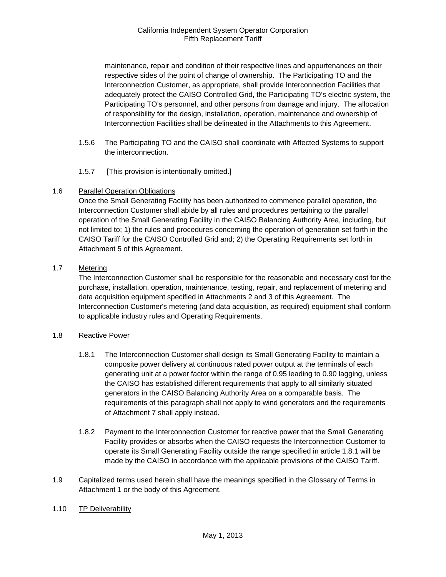maintenance, repair and condition of their respective lines and appurtenances on their respective sides of the point of change of ownership. The Participating TO and the Interconnection Customer, as appropriate, shall provide Interconnection Facilities that adequately protect the CAISO Controlled Grid, the Participating TO's electric system, the Participating TO's personnel, and other persons from damage and injury. The allocation of responsibility for the design, installation, operation, maintenance and ownership of Interconnection Facilities shall be delineated in the Attachments to this Agreement.

- 1.5.6 The Participating TO and the CAISO shall coordinate with Affected Systems to support the interconnection.
- 1.5.7 [This provision is intentionally omitted.]

# 1.6 Parallel Operation Obligations

Once the Small Generating Facility has been authorized to commence parallel operation, the Interconnection Customer shall abide by all rules and procedures pertaining to the parallel operation of the Small Generating Facility in the CAISO Balancing Authority Area, including, but not limited to; 1) the rules and procedures concerning the operation of generation set forth in the CAISO Tariff for the CAISO Controlled Grid and; 2) the Operating Requirements set forth in Attachment 5 of this Agreement.

# 1.7 Metering

The Interconnection Customer shall be responsible for the reasonable and necessary cost for the purchase, installation, operation, maintenance, testing, repair, and replacement of metering and data acquisition equipment specified in Attachments 2 and 3 of this Agreement. The Interconnection Customer's metering (and data acquisition, as required) equipment shall conform to applicable industry rules and Operating Requirements.

# 1.8 Reactive Power

- 1.8.1 The Interconnection Customer shall design its Small Generating Facility to maintain a composite power delivery at continuous rated power output at the terminals of each generating unit at a power factor within the range of 0.95 leading to 0.90 lagging, unless the CAISO has established different requirements that apply to all similarly situated generators in the CAISO Balancing Authority Area on a comparable basis. The requirements of this paragraph shall not apply to wind generators and the requirements of Attachment 7 shall apply instead.
- 1.8.2 Payment to the Interconnection Customer for reactive power that the Small Generating Facility provides or absorbs when the CAISO requests the Interconnection Customer to operate its Small Generating Facility outside the range specified in article 1.8.1 will be made by the CAISO in accordance with the applicable provisions of the CAISO Tariff.
- 1.9 Capitalized terms used herein shall have the meanings specified in the Glossary of Terms in Attachment 1 or the body of this Agreement.
- 1.10 TP Deliverability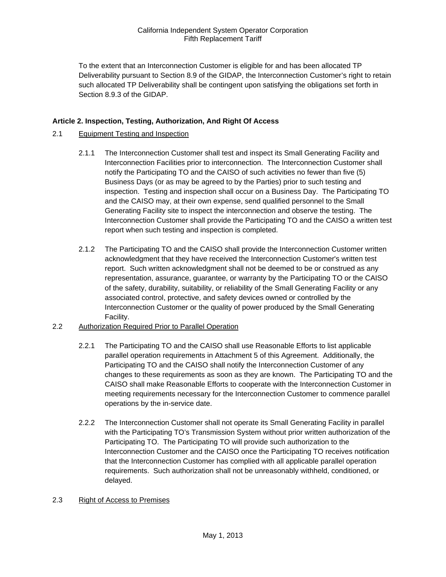To the extent that an Interconnection Customer is eligible for and has been allocated TP Deliverability pursuant to Section 8.9 of the GIDAP, the Interconnection Customer's right to retain such allocated TP Deliverability shall be contingent upon satisfying the obligations set forth in Section 8.9.3 of the GIDAP.

# **Article 2. Inspection, Testing, Authorization, And Right Of Access**

# 2.1 Equipment Testing and Inspection

- 2.1.1 The Interconnection Customer shall test and inspect its Small Generating Facility and Interconnection Facilities prior to interconnection. The Interconnection Customer shall notify the Participating TO and the CAISO of such activities no fewer than five (5) Business Days (or as may be agreed to by the Parties) prior to such testing and inspection. Testing and inspection shall occur on a Business Day. The Participating TO and the CAISO may, at their own expense, send qualified personnel to the Small Generating Facility site to inspect the interconnection and observe the testing. The Interconnection Customer shall provide the Participating TO and the CAISO a written test report when such testing and inspection is completed.
- 2.1.2 The Participating TO and the CAISO shall provide the Interconnection Customer written acknowledgment that they have received the Interconnection Customer's written test report. Such written acknowledgment shall not be deemed to be or construed as any representation, assurance, guarantee, or warranty by the Participating TO or the CAISO of the safety, durability, suitability, or reliability of the Small Generating Facility or any associated control, protective, and safety devices owned or controlled by the Interconnection Customer or the quality of power produced by the Small Generating Facility.
- 2.2 Authorization Required Prior to Parallel Operation
	- 2.2.1 The Participating TO and the CAISO shall use Reasonable Efforts to list applicable parallel operation requirements in Attachment 5 of this Agreement. Additionally, the Participating TO and the CAISO shall notify the Interconnection Customer of any changes to these requirements as soon as they are known. The Participating TO and the CAISO shall make Reasonable Efforts to cooperate with the Interconnection Customer in meeting requirements necessary for the Interconnection Customer to commence parallel operations by the in-service date.
	- 2.2.2 The Interconnection Customer shall not operate its Small Generating Facility in parallel with the Participating TO's Transmission System without prior written authorization of the Participating TO. The Participating TO will provide such authorization to the Interconnection Customer and the CAISO once the Participating TO receives notification that the Interconnection Customer has complied with all applicable parallel operation requirements. Such authorization shall not be unreasonably withheld, conditioned, or delayed.

# 2.3 Right of Access to Premises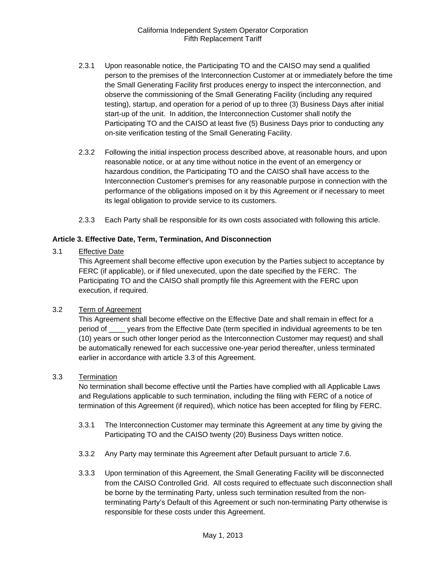- 2.3.1 Upon reasonable notice, the Participating TO and the CAISO may send a qualified person to the premises of the Interconnection Customer at or immediately before the time the Small Generating Facility first produces energy to inspect the interconnection, and observe the commissioning of the Small Generating Facility (including any required testing), startup, and operation for a period of up to three (3) Business Days after initial start-up of the unit. In addition, the Interconnection Customer shall notify the Participating TO and the CAISO at least five (5) Business Days prior to conducting any on-site verification testing of the Small Generating Facility.
- 2.3.2 Following the initial inspection process described above, at reasonable hours, and upon reasonable notice, or at any time without notice in the event of an emergency or hazardous condition, the Participating TO and the CAISO shall have access to the Interconnection Customer's premises for any reasonable purpose in connection with the performance of the obligations imposed on it by this Agreement or if necessary to meet its legal obligation to provide service to its customers.
- 2.3.3 Each Party shall be responsible for its own costs associated with following this article.

#### **Article 3. Effective Date, Term, Termination, And Disconnection**

#### 3.1 Effective Date

This Agreement shall become effective upon execution by the Parties subject to acceptance by FERC (if applicable), or if filed unexecuted, upon the date specified by the FERC. The Participating TO and the CAISO shall promptly file this Agreement with the FERC upon execution, if required.

#### 3.2 Term of Agreement

This Agreement shall become effective on the Effective Date and shall remain in effect for a period of \_\_\_\_ years from the Effective Date (term specified in individual agreements to be ten (10) years or such other longer period as the Interconnection Customer may request) and shall be automatically renewed for each successive one-year period thereafter, unless terminated earlier in accordance with article 3.3 of this Agreement.

#### 3.3 Termination

No termination shall become effective until the Parties have complied with all Applicable Laws and Regulations applicable to such termination, including the filing with FERC of a notice of termination of this Agreement (if required), which notice has been accepted for filing by FERC.

- 3.3.1 The Interconnection Customer may terminate this Agreement at any time by giving the Participating TO and the CAISO twenty (20) Business Days written notice.
- 3.3.2 Any Party may terminate this Agreement after Default pursuant to article 7.6.
- 3.3.3 Upon termination of this Agreement, the Small Generating Facility will be disconnected from the CAISO Controlled Grid. All costs required to effectuate such disconnection shall be borne by the terminating Party, unless such termination resulted from the nonterminating Party's Default of this Agreement or such non-terminating Party otherwise is responsible for these costs under this Agreement.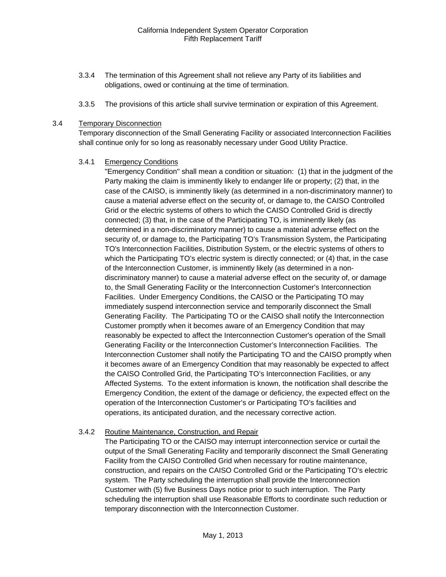- 3.3.4 The termination of this Agreement shall not relieve any Party of its liabilities and obligations, owed or continuing at the time of termination.
- 3.3.5 The provisions of this article shall survive termination or expiration of this Agreement.

#### 3.4 Temporary Disconnection

Temporary disconnection of the Small Generating Facility or associated Interconnection Facilities shall continue only for so long as reasonably necessary under Good Utility Practice.

# 3.4.1 Emergency Conditions

"Emergency Condition" shall mean a condition or situation: (1) that in the judgment of the Party making the claim is imminently likely to endanger life or property; (2) that, in the case of the CAISO, is imminently likely (as determined in a non-discriminatory manner) to cause a material adverse effect on the security of, or damage to, the CAISO Controlled Grid or the electric systems of others to which the CAISO Controlled Grid is directly connected; (3) that, in the case of the Participating TO, is imminently likely (as determined in a non-discriminatory manner) to cause a material adverse effect on the security of, or damage to, the Participating TO's Transmission System, the Participating TO's Interconnection Facilities, Distribution System, or the electric systems of others to which the Participating TO's electric system is directly connected; or (4) that, in the case of the Interconnection Customer, is imminently likely (as determined in a nondiscriminatory manner) to cause a material adverse effect on the security of, or damage to, the Small Generating Facility or the Interconnection Customer's Interconnection Facilities. Under Emergency Conditions, the CAISO or the Participating TO may immediately suspend interconnection service and temporarily disconnect the Small Generating Facility. The Participating TO or the CAISO shall notify the Interconnection Customer promptly when it becomes aware of an Emergency Condition that may reasonably be expected to affect the Interconnection Customer's operation of the Small Generating Facility or the Interconnection Customer's Interconnection Facilities. The Interconnection Customer shall notify the Participating TO and the CAISO promptly when it becomes aware of an Emergency Condition that may reasonably be expected to affect the CAISO Controlled Grid, the Participating TO's Interconnection Facilities, or any Affected Systems. To the extent information is known, the notification shall describe the Emergency Condition, the extent of the damage or deficiency, the expected effect on the operation of the Interconnection Customer's or Participating TO's facilities and operations, its anticipated duration, and the necessary corrective action.

# 3.4.2 Routine Maintenance, Construction, and Repair

The Participating TO or the CAISO may interrupt interconnection service or curtail the output of the Small Generating Facility and temporarily disconnect the Small Generating Facility from the CAISO Controlled Grid when necessary for routine maintenance, construction, and repairs on the CAISO Controlled Grid or the Participating TO's electric system. The Party scheduling the interruption shall provide the Interconnection Customer with (5) five Business Days notice prior to such interruption. The Party scheduling the interruption shall use Reasonable Efforts to coordinate such reduction or temporary disconnection with the Interconnection Customer.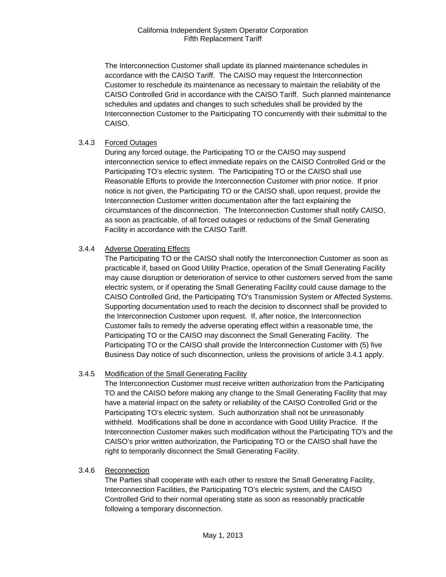The Interconnection Customer shall update its planned maintenance schedules in accordance with the CAISO Tariff. The CAISO may request the Interconnection Customer to reschedule its maintenance as necessary to maintain the reliability of the CAISO Controlled Grid in accordance with the CAISO Tariff. Such planned maintenance schedules and updates and changes to such schedules shall be provided by the Interconnection Customer to the Participating TO concurrently with their submittal to the CAISO.

# 3.4.3 Forced Outages

During any forced outage, the Participating TO or the CAISO may suspend interconnection service to effect immediate repairs on the CAISO Controlled Grid or the Participating TO's electric system. The Participating TO or the CAISO shall use Reasonable Efforts to provide the Interconnection Customer with prior notice. If prior notice is not given, the Participating TO or the CAISO shall, upon request, provide the Interconnection Customer written documentation after the fact explaining the circumstances of the disconnection. The Interconnection Customer shall notify CAISO, as soon as practicable, of all forced outages or reductions of the Small Generating Facility in accordance with the CAISO Tariff.

# 3.4.4 Adverse Operating Effects

The Participating TO or the CAISO shall notify the Interconnection Customer as soon as practicable if, based on Good Utility Practice, operation of the Small Generating Facility may cause disruption or deterioration of service to other customers served from the same electric system, or if operating the Small Generating Facility could cause damage to the CAISO Controlled Grid, the Participating TO's Transmission System or Affected Systems. Supporting documentation used to reach the decision to disconnect shall be provided to the Interconnection Customer upon request. If, after notice, the Interconnection Customer fails to remedy the adverse operating effect within a reasonable time, the Participating TO or the CAISO may disconnect the Small Generating Facility. The Participating TO or the CAISO shall provide the Interconnection Customer with (5) five Business Day notice of such disconnection, unless the provisions of article 3.4.1 apply.

# 3.4.5 Modification of the Small Generating Facility

The Interconnection Customer must receive written authorization from the Participating TO and the CAISO before making any change to the Small Generating Facility that may have a material impact on the safety or reliability of the CAISO Controlled Grid or the Participating TO's electric system. Such authorization shall not be unreasonably withheld. Modifications shall be done in accordance with Good Utility Practice. If the Interconnection Customer makes such modification without the Participating TO's and the CAISO's prior written authorization, the Participating TO or the CAISO shall have the right to temporarily disconnect the Small Generating Facility.

#### 3.4.6 Reconnection

The Parties shall cooperate with each other to restore the Small Generating Facility, Interconnection Facilities, the Participating TO's electric system, and the CAISO Controlled Grid to their normal operating state as soon as reasonably practicable following a temporary disconnection.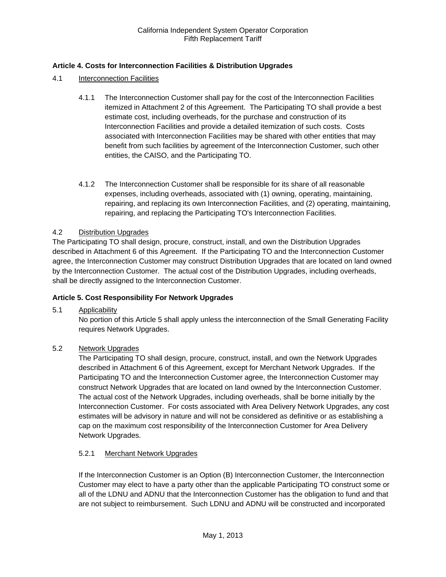# **Article 4. Costs for Interconnection Facilities & Distribution Upgrades**

- 4.1 Interconnection Facilities
	- 4.1.1 The Interconnection Customer shall pay for the cost of the Interconnection Facilities itemized in Attachment 2 of this Agreement. The Participating TO shall provide a best estimate cost, including overheads, for the purchase and construction of its Interconnection Facilities and provide a detailed itemization of such costs. Costs associated with Interconnection Facilities may be shared with other entities that may benefit from such facilities by agreement of the Interconnection Customer, such other entities, the CAISO, and the Participating TO.
	- 4.1.2 The Interconnection Customer shall be responsible for its share of all reasonable expenses, including overheads, associated with (1) owning, operating, maintaining, repairing, and replacing its own Interconnection Facilities, and (2) operating, maintaining, repairing, and replacing the Participating TO's Interconnection Facilities.

# 4.2 Distribution Upgrades

The Participating TO shall design, procure, construct, install, and own the Distribution Upgrades described in Attachment 6 of this Agreement. If the Participating TO and the Interconnection Customer agree, the Interconnection Customer may construct Distribution Upgrades that are located on land owned by the Interconnection Customer. The actual cost of the Distribution Upgrades, including overheads, shall be directly assigned to the Interconnection Customer.

# **Article 5. Cost Responsibility For Network Upgrades**

5.1 Applicability

No portion of this Article 5 shall apply unless the interconnection of the Small Generating Facility requires Network Upgrades.

# 5.2 Network Upgrades

The Participating TO shall design, procure, construct, install, and own the Network Upgrades described in Attachment 6 of this Agreement, except for Merchant Network Upgrades. If the Participating TO and the Interconnection Customer agree, the Interconnection Customer may construct Network Upgrades that are located on land owned by the Interconnection Customer. The actual cost of the Network Upgrades, including overheads, shall be borne initially by the Interconnection Customer. For costs associated with Area Delivery Network Upgrades, any cost estimates will be advisory in nature and will not be considered as definitive or as establishing a cap on the maximum cost responsibility of the Interconnection Customer for Area Delivery Network Upgrades.

# 5.2.1 Merchant Network Upgrades

If the Interconnection Customer is an Option (B) Interconnection Customer, the Interconnection Customer may elect to have a party other than the applicable Participating TO construct some or all of the LDNU and ADNU that the Interconnection Customer has the obligation to fund and that are not subject to reimbursement. Such LDNU and ADNU will be constructed and incorporated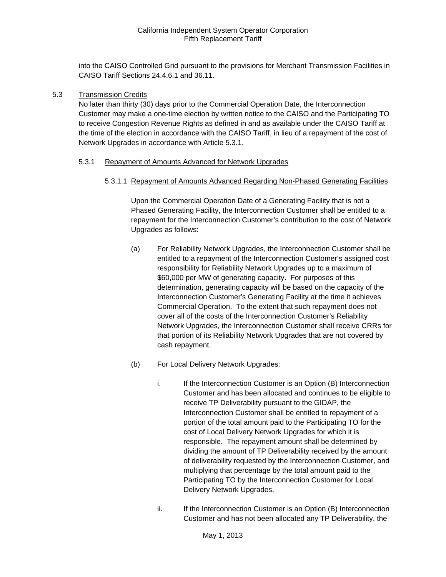into the CAISO Controlled Grid pursuant to the provisions for Merchant Transmission Facilities in CAISO Tariff Sections 24.4.6.1 and 36.11.

#### 5.3 Transmission Credits

No later than thirty (30) days prior to the Commercial Operation Date, the Interconnection Customer may make a one-time election by written notice to the CAISO and the Participating TO to receive Congestion Revenue Rights as defined in and as available under the CAISO Tariff at the time of the election in accordance with the CAISO Tariff, in lieu of a repayment of the cost of Network Upgrades in accordance with Article 5.3.1.

#### 5.3.1 Repayment of Amounts Advanced for Network Upgrades

5.3.1.1 Repayment of Amounts Advanced Regarding Non-Phased Generating Facilities

Upon the Commercial Operation Date of a Generating Facility that is not a Phased Generating Facility, the Interconnection Customer shall be entitled to a repayment for the Interconnection Customer's contribution to the cost of Network Upgrades as follows:

- (a) For Reliability Network Upgrades, the Interconnection Customer shall be entitled to a repayment of the Interconnection Customer's assigned cost responsibility for Reliability Network Upgrades up to a maximum of \$60,000 per MW of generating capacity. For purposes of this determination, generating capacity will be based on the capacity of the Interconnection Customer's Generating Facility at the time it achieves Commercial Operation. To the extent that such repayment does not cover all of the costs of the Interconnection Customer's Reliability Network Upgrades, the Interconnection Customer shall receive CRRs for that portion of its Reliability Network Upgrades that are not covered by cash repayment.
- (b) For Local Delivery Network Upgrades:
	- i. If the Interconnection Customer is an Option (B) Interconnection Customer and has been allocated and continues to be eligible to receive TP Deliverability pursuant to the GIDAP, the Interconnection Customer shall be entitled to repayment of a portion of the total amount paid to the Participating TO for the cost of Local Delivery Network Upgrades for which it is responsible. The repayment amount shall be determined by dividing the amount of TP Deliverability received by the amount of deliverability requested by the Interconnection Customer, and multiplying that percentage by the total amount paid to the Participating TO by the Interconnection Customer for Local Delivery Network Upgrades.
	- ii. If the Interconnection Customer is an Option (B) Interconnection Customer and has not been allocated any TP Deliverability, the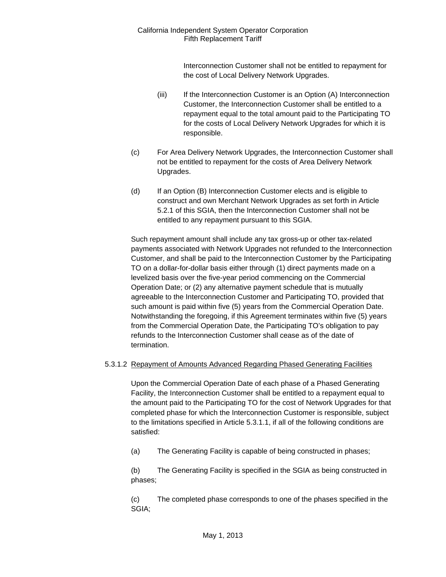> Interconnection Customer shall not be entitled to repayment for the cost of Local Delivery Network Upgrades.

- (iii) If the Interconnection Customer is an Option (A) Interconnection Customer, the Interconnection Customer shall be entitled to a repayment equal to the total amount paid to the Participating TO for the costs of Local Delivery Network Upgrades for which it is responsible.
- (c) For Area Delivery Network Upgrades, the Interconnection Customer shall not be entitled to repayment for the costs of Area Delivery Network Upgrades.
- (d) If an Option (B) Interconnection Customer elects and is eligible to construct and own Merchant Network Upgrades as set forth in Article 5.2.1 of this SGIA, then the Interconnection Customer shall not be entitled to any repayment pursuant to this SGIA.

Such repayment amount shall include any tax gross-up or other tax-related payments associated with Network Upgrades not refunded to the Interconnection Customer, and shall be paid to the Interconnection Customer by the Participating TO on a dollar-for-dollar basis either through (1) direct payments made on a levelized basis over the five-year period commencing on the Commercial Operation Date; or (2) any alternative payment schedule that is mutually agreeable to the Interconnection Customer and Participating TO, provided that such amount is paid within five (5) years from the Commercial Operation Date. Notwithstanding the foregoing, if this Agreement terminates within five (5) years from the Commercial Operation Date, the Participating TO's obligation to pay refunds to the Interconnection Customer shall cease as of the date of termination.

# 5.3.1.2 Repayment of Amounts Advanced Regarding Phased Generating Facilities

Upon the Commercial Operation Date of each phase of a Phased Generating Facility, the Interconnection Customer shall be entitled to a repayment equal to the amount paid to the Participating TO for the cost of Network Upgrades for that completed phase for which the Interconnection Customer is responsible, subject to the limitations specified in Article 5.3.1.1, if all of the following conditions are satisfied:

(a) The Generating Facility is capable of being constructed in phases;

(b) The Generating Facility is specified in the SGIA as being constructed in phases;

(c) The completed phase corresponds to one of the phases specified in the SGIA;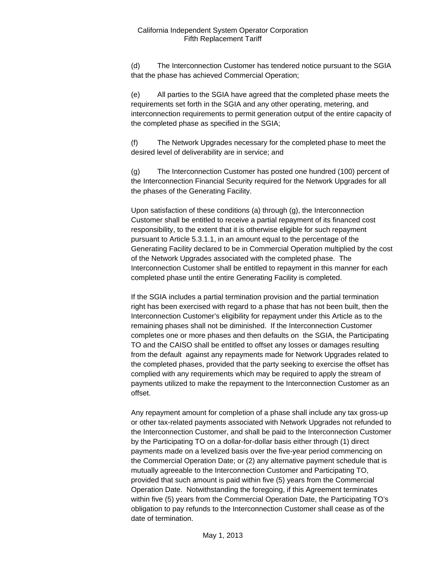(d) The Interconnection Customer has tendered notice pursuant to the SGIA that the phase has achieved Commercial Operation;

(e) All parties to the SGIA have agreed that the completed phase meets the requirements set forth in the SGIA and any other operating, metering, and interconnection requirements to permit generation output of the entire capacity of the completed phase as specified in the SGIA;

(f) The Network Upgrades necessary for the completed phase to meet the desired level of deliverability are in service; and

(g) The Interconnection Customer has posted one hundred (100) percent of the Interconnection Financial Security required for the Network Upgrades for all the phases of the Generating Facility.

Upon satisfaction of these conditions (a) through (g), the Interconnection Customer shall be entitled to receive a partial repayment of its financed cost responsibility, to the extent that it is otherwise eligible for such repayment pursuant to Article 5.3.1.1, in an amount equal to the percentage of the Generating Facility declared to be in Commercial Operation multiplied by the cost of the Network Upgrades associated with the completed phase. The Interconnection Customer shall be entitled to repayment in this manner for each completed phase until the entire Generating Facility is completed.

If the SGIA includes a partial termination provision and the partial termination right has been exercised with regard to a phase that has not been built, then the Interconnection Customer's eligibility for repayment under this Article as to the remaining phases shall not be diminished. If the Interconnection Customer completes one or more phases and then defaults on the SGIA, the Participating TO and the CAISO shall be entitled to offset any losses or damages resulting from the default against any repayments made for Network Upgrades related to the completed phases, provided that the party seeking to exercise the offset has complied with any requirements which may be required to apply the stream of payments utilized to make the repayment to the Interconnection Customer as an offset.

Any repayment amount for completion of a phase shall include any tax gross-up or other tax-related payments associated with Network Upgrades not refunded to the Interconnection Customer, and shall be paid to the Interconnection Customer by the Participating TO on a dollar-for-dollar basis either through (1) direct payments made on a levelized basis over the five-year period commencing on the Commercial Operation Date; or (2) any alternative payment schedule that is mutually agreeable to the Interconnection Customer and Participating TO, provided that such amount is paid within five (5) years from the Commercial Operation Date. Notwithstanding the foregoing, if this Agreement terminates within five (5) years from the Commercial Operation Date, the Participating TO's obligation to pay refunds to the Interconnection Customer shall cease as of the date of termination.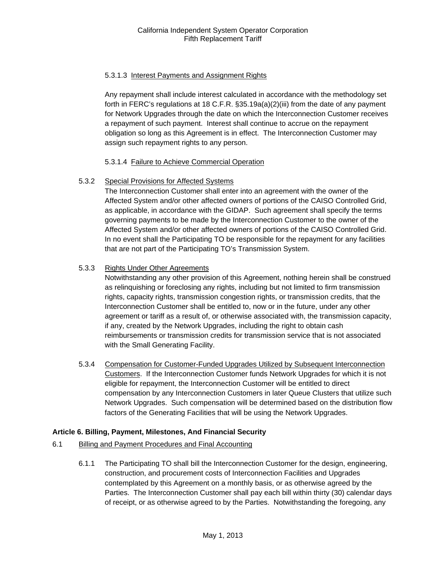# 5.3.1.3 Interest Payments and Assignment Rights

Any repayment shall include interest calculated in accordance with the methodology set forth in FERC's regulations at 18 C.F.R. §35.19a(a)(2)(iii) from the date of any payment for Network Upgrades through the date on which the Interconnection Customer receives a repayment of such payment. Interest shall continue to accrue on the repayment obligation so long as this Agreement is in effect. The Interconnection Customer may assign such repayment rights to any person.

# 5.3.1.4 Failure to Achieve Commercial Operation

# 5.3.2 Special Provisions for Affected Systems

The Interconnection Customer shall enter into an agreement with the owner of the Affected System and/or other affected owners of portions of the CAISO Controlled Grid, as applicable, in accordance with the GIDAP. Such agreement shall specify the terms governing payments to be made by the Interconnection Customer to the owner of the Affected System and/or other affected owners of portions of the CAISO Controlled Grid. In no event shall the Participating TO be responsible for the repayment for any facilities that are not part of the Participating TO's Transmission System.

# 5.3.3 Rights Under Other Agreements

Notwithstanding any other provision of this Agreement, nothing herein shall be construed as relinquishing or foreclosing any rights, including but not limited to firm transmission rights, capacity rights, transmission congestion rights, or transmission credits, that the Interconnection Customer shall be entitled to, now or in the future, under any other agreement or tariff as a result of, or otherwise associated with, the transmission capacity, if any, created by the Network Upgrades, including the right to obtain cash reimbursements or transmission credits for transmission service that is not associated with the Small Generating Facility.

5.3.4 Compensation for Customer-Funded Upgrades Utilized by Subsequent Interconnection Customers. If the Interconnection Customer funds Network Upgrades for which it is not eligible for repayment, the Interconnection Customer will be entitled to direct compensation by any Interconnection Customers in later Queue Clusters that utilize such Network Upgrades. Such compensation will be determined based on the distribution flow factors of the Generating Facilities that will be using the Network Upgrades.

# **Article 6. Billing, Payment, Milestones, And Financial Security**

- 6.1 Billing and Payment Procedures and Final Accounting
	- 6.1.1 The Participating TO shall bill the Interconnection Customer for the design, engineering, construction, and procurement costs of Interconnection Facilities and Upgrades contemplated by this Agreement on a monthly basis, or as otherwise agreed by the Parties. The Interconnection Customer shall pay each bill within thirty (30) calendar days of receipt, or as otherwise agreed to by the Parties. Notwithstanding the foregoing, any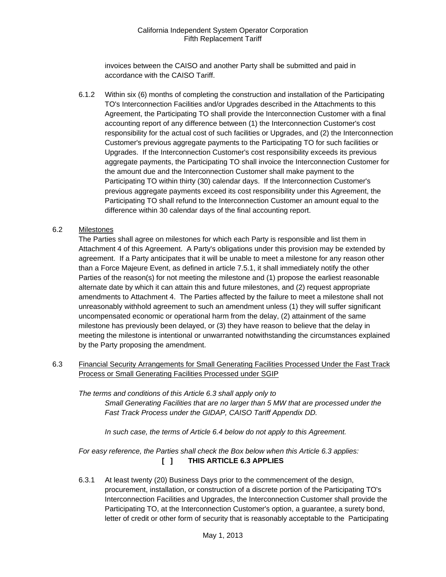invoices between the CAISO and another Party shall be submitted and paid in accordance with the CAISO Tariff.

 6.1.2 Within six (6) months of completing the construction and installation of the Participating TO's Interconnection Facilities and/or Upgrades described in the Attachments to this Agreement, the Participating TO shall provide the Interconnection Customer with a final accounting report of any difference between (1) the Interconnection Customer's cost responsibility for the actual cost of such facilities or Upgrades, and (2) the Interconnection Customer's previous aggregate payments to the Participating TO for such facilities or Upgrades. If the Interconnection Customer's cost responsibility exceeds its previous aggregate payments, the Participating TO shall invoice the Interconnection Customer for the amount due and the Interconnection Customer shall make payment to the Participating TO within thirty (30) calendar days. If the Interconnection Customer's previous aggregate payments exceed its cost responsibility under this Agreement, the Participating TO shall refund to the Interconnection Customer an amount equal to the difference within 30 calendar days of the final accounting report.

# 6.2 Milestones

The Parties shall agree on milestones for which each Party is responsible and list them in Attachment 4 of this Agreement. A Party's obligations under this provision may be extended by agreement. If a Party anticipates that it will be unable to meet a milestone for any reason other than a Force Majeure Event, as defined in article 7.5.1, it shall immediately notify the other Parties of the reason(s) for not meeting the milestone and (1) propose the earliest reasonable alternate date by which it can attain this and future milestones, and (2) request appropriate amendments to Attachment 4. The Parties affected by the failure to meet a milestone shall not unreasonably withhold agreement to such an amendment unless (1) they will suffer significant uncompensated economic or operational harm from the delay, (2) attainment of the same milestone has previously been delayed, or (3) they have reason to believe that the delay in meeting the milestone is intentional or unwarranted notwithstanding the circumstances explained by the Party proposing the amendment.

6.3 Financial Security Arrangements for Small Generating Facilities Processed Under the Fast Track Process or Small Generating Facilities Processed under SGIP

*The terms and conditions of this Article 6.3 shall apply only to Small Generating Facilities that are no larger than 5 MW that are processed under the Fast Track Process under the GIDAP, CAISO Tariff Appendix DD.* 

*In such case, the terms of Article 6.4 below do not apply to this Agreement.* 

*For easy reference, the Parties shall check the Box below when this Article 6.3 applies:*  **[ ] THIS ARTICLE 6.3 APPLIES** 

6.3.1 At least twenty (20) Business Days prior to the commencement of the design, procurement, installation, or construction of a discrete portion of the Participating TO's Interconnection Facilities and Upgrades, the Interconnection Customer shall provide the Participating TO, at the Interconnection Customer's option, a guarantee, a surety bond, letter of credit or other form of security that is reasonably acceptable to the Participating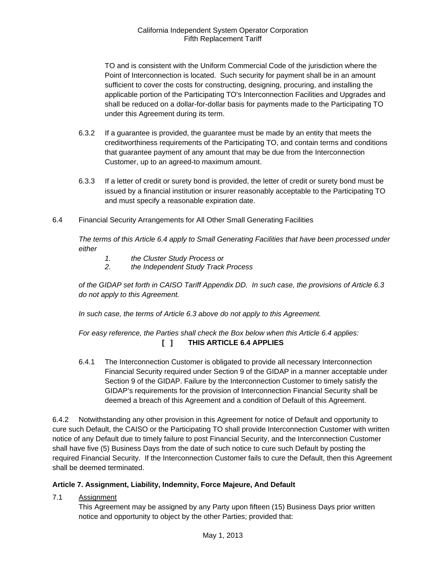TO and is consistent with the Uniform Commercial Code of the jurisdiction where the Point of Interconnection is located. Such security for payment shall be in an amount sufficient to cover the costs for constructing, designing, procuring, and installing the applicable portion of the Participating TO's Interconnection Facilities and Upgrades and shall be reduced on a dollar-for-dollar basis for payments made to the Participating TO under this Agreement during its term.

- 6.3.2 If a guarantee is provided, the guarantee must be made by an entity that meets the creditworthiness requirements of the Participating TO, and contain terms and conditions that guarantee payment of any amount that may be due from the Interconnection Customer, up to an agreed-to maximum amount.
- 6.3.3 If a letter of credit or surety bond is provided, the letter of credit or surety bond must be issued by a financial institution or insurer reasonably acceptable to the Participating TO and must specify a reasonable expiration date.
- 6.4 Financial Security Arrangements for All Other Small Generating Facilities

*The terms of this Article 6.4 apply to Small Generating Facilities that have been processed under either* 

- *1. the Cluster Study Process or*
- *2. the Independent Study Track Process*

*of the GIDAP set forth in CAISO Tariff Appendix DD. In such case, the provisions of Article 6.3 do not apply to this Agreement.* 

 *In such case, the terms of Article 6.3 above do not apply to this Agreement.* 

# *For easy reference, the Parties shall check the Box below when this Article 6.4 applies:*  **[ ] THIS ARTICLE 6.4 APPLIES**

6.4.1 The Interconnection Customer is obligated to provide all necessary Interconnection Financial Security required under Section 9 of the GIDAP in a manner acceptable under Section 9 of the GIDAP. Failure by the Interconnection Customer to timely satisfy the GIDAP's requirements for the provision of Interconnection Financial Security shall be deemed a breach of this Agreement and a condition of Default of this Agreement.

6.4.2 Notwithstanding any other provision in this Agreement for notice of Default and opportunity to cure such Default, the CAISO or the Participating TO shall provide Interconnection Customer with written notice of any Default due to timely failure to post Financial Security, and the Interconnection Customer shall have five (5) Business Days from the date of such notice to cure such Default by posting the required Financial Security. If the Interconnection Customer fails to cure the Default, then this Agreement shall be deemed terminated.

# **Article 7. Assignment, Liability, Indemnity, Force Majeure, And Default**

7.1 Assignment

This Agreement may be assigned by any Party upon fifteen (15) Business Days prior written notice and opportunity to object by the other Parties; provided that: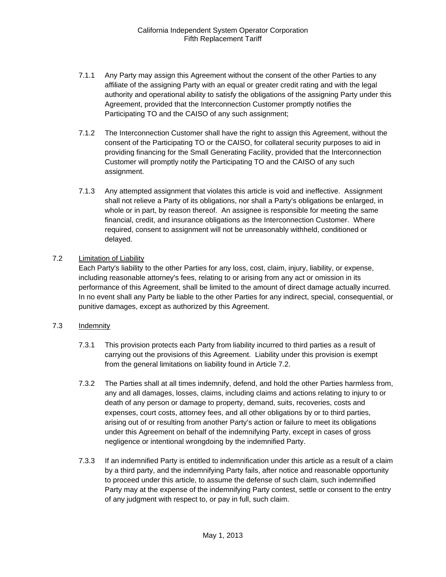- 7.1.1 Any Party may assign this Agreement without the consent of the other Parties to any affiliate of the assigning Party with an equal or greater credit rating and with the legal authority and operational ability to satisfy the obligations of the assigning Party under this Agreement, provided that the Interconnection Customer promptly notifies the Participating TO and the CAISO of any such assignment;
- 7.1.2 The Interconnection Customer shall have the right to assign this Agreement, without the consent of the Participating TO or the CAISO, for collateral security purposes to aid in providing financing for the Small Generating Facility, provided that the Interconnection Customer will promptly notify the Participating TO and the CAISO of any such assignment.
- 7.1.3 Any attempted assignment that violates this article is void and ineffective. Assignment shall not relieve a Party of its obligations, nor shall a Party's obligations be enlarged, in whole or in part, by reason thereof. An assignee is responsible for meeting the same financial, credit, and insurance obligations as the Interconnection Customer. Where required, consent to assignment will not be unreasonably withheld, conditioned or delayed.

# 7.2 Limitation of Liability

Each Party's liability to the other Parties for any loss, cost, claim, injury, liability, or expense, including reasonable attorney's fees, relating to or arising from any act or omission in its performance of this Agreement, shall be limited to the amount of direct damage actually incurred. In no event shall any Party be liable to the other Parties for any indirect, special, consequential, or punitive damages, except as authorized by this Agreement.

# 7.3 Indemnity

- 7.3.1 This provision protects each Party from liability incurred to third parties as a result of carrying out the provisions of this Agreement. Liability under this provision is exempt from the general limitations on liability found in Article 7.2.
- 7.3.2 The Parties shall at all times indemnify, defend, and hold the other Parties harmless from, any and all damages, losses, claims, including claims and actions relating to injury to or death of any person or damage to property, demand, suits, recoveries, costs and expenses, court costs, attorney fees, and all other obligations by or to third parties, arising out of or resulting from another Party's action or failure to meet its obligations under this Agreement on behalf of the indemnifying Party, except in cases of gross negligence or intentional wrongdoing by the indemnified Party.
- 7.3.3 If an indemnified Party is entitled to indemnification under this article as a result of a claim by a third party, and the indemnifying Party fails, after notice and reasonable opportunity to proceed under this article, to assume the defense of such claim, such indemnified Party may at the expense of the indemnifying Party contest, settle or consent to the entry of any judgment with respect to, or pay in full, such claim.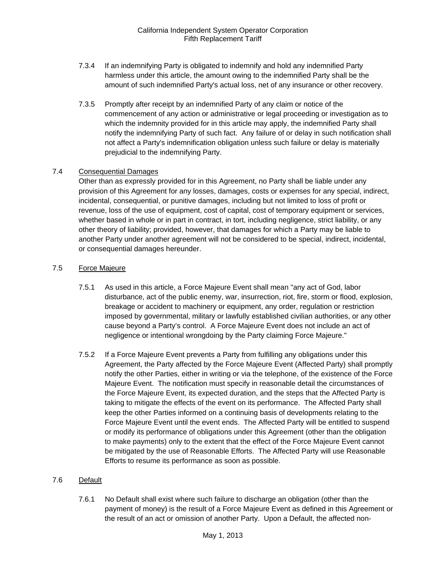- 7.3.4 If an indemnifying Party is obligated to indemnify and hold any indemnified Party harmless under this article, the amount owing to the indemnified Party shall be the amount of such indemnified Party's actual loss, net of any insurance or other recovery.
- 7.3.5 Promptly after receipt by an indemnified Party of any claim or notice of the commencement of any action or administrative or legal proceeding or investigation as to which the indemnity provided for in this article may apply, the indemnified Party shall notify the indemnifying Party of such fact. Any failure of or delay in such notification shall not affect a Party's indemnification obligation unless such failure or delay is materially prejudicial to the indemnifying Party.

# 7.4 Consequential Damages

Other than as expressly provided for in this Agreement, no Party shall be liable under any provision of this Agreement for any losses, damages, costs or expenses for any special, indirect, incidental, consequential, or punitive damages, including but not limited to loss of profit or revenue, loss of the use of equipment, cost of capital, cost of temporary equipment or services, whether based in whole or in part in contract, in tort, including negligence, strict liability, or any other theory of liability; provided, however, that damages for which a Party may be liable to another Party under another agreement will not be considered to be special, indirect, incidental, or consequential damages hereunder.

# 7.5 Force Majeure

- 7.5.1 As used in this article, a Force Majeure Event shall mean "any act of God, labor disturbance, act of the public enemy, war, insurrection, riot, fire, storm or flood, explosion, breakage or accident to machinery or equipment, any order, regulation or restriction imposed by governmental, military or lawfully established civilian authorities, or any other cause beyond a Party's control. A Force Majeure Event does not include an act of negligence or intentional wrongdoing by the Party claiming Force Majeure."
- 7.5.2 If a Force Majeure Event prevents a Party from fulfilling any obligations under this Agreement, the Party affected by the Force Majeure Event (Affected Party) shall promptly notify the other Parties, either in writing or via the telephone, of the existence of the Force Majeure Event. The notification must specify in reasonable detail the circumstances of the Force Majeure Event, its expected duration, and the steps that the Affected Party is taking to mitigate the effects of the event on its performance. The Affected Party shall keep the other Parties informed on a continuing basis of developments relating to the Force Majeure Event until the event ends. The Affected Party will be entitled to suspend or modify its performance of obligations under this Agreement (other than the obligation to make payments) only to the extent that the effect of the Force Majeure Event cannot be mitigated by the use of Reasonable Efforts. The Affected Party will use Reasonable Efforts to resume its performance as soon as possible.

# 7.6 Default

7.6.1 No Default shall exist where such failure to discharge an obligation (other than the payment of money) is the result of a Force Majeure Event as defined in this Agreement or the result of an act or omission of another Party. Upon a Default, the affected non-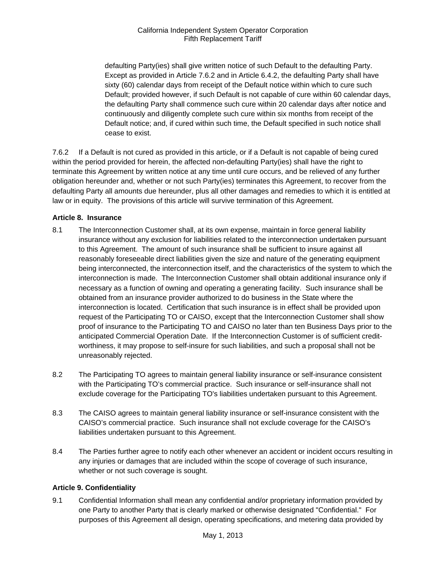defaulting Party(ies) shall give written notice of such Default to the defaulting Party. Except as provided in Article 7.6.2 and in Article 6.4.2, the defaulting Party shall have sixty (60) calendar days from receipt of the Default notice within which to cure such Default; provided however, if such Default is not capable of cure within 60 calendar days, the defaulting Party shall commence such cure within 20 calendar days after notice and continuously and diligently complete such cure within six months from receipt of the Default notice; and, if cured within such time, the Default specified in such notice shall cease to exist.

7.6.2 If a Default is not cured as provided in this article, or if a Default is not capable of being cured within the period provided for herein, the affected non-defaulting Party(ies) shall have the right to terminate this Agreement by written notice at any time until cure occurs, and be relieved of any further obligation hereunder and, whether or not such Party(ies) terminates this Agreement, to recover from the defaulting Party all amounts due hereunder, plus all other damages and remedies to which it is entitled at law or in equity. The provisions of this article will survive termination of this Agreement.

# **Article 8. Insurance**

- 8.1 The Interconnection Customer shall, at its own expense, maintain in force general liability insurance without any exclusion for liabilities related to the interconnection undertaken pursuant to this Agreement. The amount of such insurance shall be sufficient to insure against all reasonably foreseeable direct liabilities given the size and nature of the generating equipment being interconnected, the interconnection itself, and the characteristics of the system to which the interconnection is made. The Interconnection Customer shall obtain additional insurance only if necessary as a function of owning and operating a generating facility. Such insurance shall be obtained from an insurance provider authorized to do business in the State where the interconnection is located. Certification that such insurance is in effect shall be provided upon request of the Participating TO or CAISO, except that the Interconnection Customer shall show proof of insurance to the Participating TO and CAISO no later than ten Business Days prior to the anticipated Commercial Operation Date. If the Interconnection Customer is of sufficient creditworthiness, it may propose to self-insure for such liabilities, and such a proposal shall not be unreasonably rejected.
- 8.2 The Participating TO agrees to maintain general liability insurance or self-insurance consistent with the Participating TO's commercial practice. Such insurance or self-insurance shall not exclude coverage for the Participating TO's liabilities undertaken pursuant to this Agreement.
- 8.3 The CAISO agrees to maintain general liability insurance or self-insurance consistent with the CAISO's commercial practice. Such insurance shall not exclude coverage for the CAISO's liabilities undertaken pursuant to this Agreement.
- 8.4 The Parties further agree to notify each other whenever an accident or incident occurs resulting in any injuries or damages that are included within the scope of coverage of such insurance, whether or not such coverage is sought.

# **Article 9. Confidentiality**

9.1 Confidential Information shall mean any confidential and/or proprietary information provided by one Party to another Party that is clearly marked or otherwise designated "Confidential." For purposes of this Agreement all design, operating specifications, and metering data provided by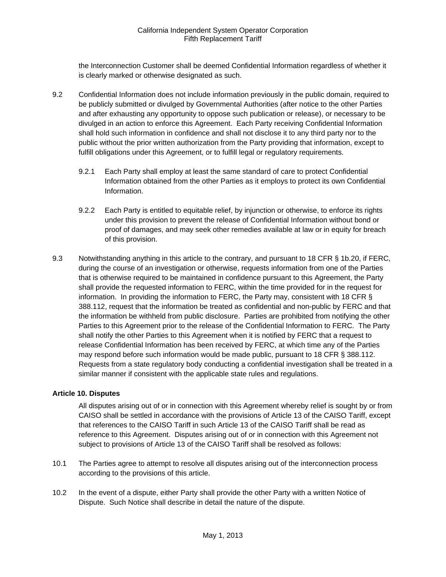the Interconnection Customer shall be deemed Confidential Information regardless of whether it is clearly marked or otherwise designated as such.

- 9.2 Confidential Information does not include information previously in the public domain, required to be publicly submitted or divulged by Governmental Authorities (after notice to the other Parties and after exhausting any opportunity to oppose such publication or release), or necessary to be divulged in an action to enforce this Agreement. Each Party receiving Confidential Information shall hold such information in confidence and shall not disclose it to any third party nor to the public without the prior written authorization from the Party providing that information, except to fulfill obligations under this Agreement, or to fulfill legal or regulatory requirements.
	- 9.2.1 Each Party shall employ at least the same standard of care to protect Confidential Information obtained from the other Parties as it employs to protect its own Confidential Information.
	- 9.2.2 Each Party is entitled to equitable relief, by injunction or otherwise, to enforce its rights under this provision to prevent the release of Confidential Information without bond or proof of damages, and may seek other remedies available at law or in equity for breach of this provision.
- 9.3 Notwithstanding anything in this article to the contrary, and pursuant to 18 CFR § 1b.20, if FERC, during the course of an investigation or otherwise, requests information from one of the Parties that is otherwise required to be maintained in confidence pursuant to this Agreement, the Party shall provide the requested information to FERC, within the time provided for in the request for information. In providing the information to FERC, the Party may, consistent with 18 CFR § 388.112, request that the information be treated as confidential and non-public by FERC and that the information be withheld from public disclosure. Parties are prohibited from notifying the other Parties to this Agreement prior to the release of the Confidential Information to FERC. The Party shall notify the other Parties to this Agreement when it is notified by FERC that a request to release Confidential Information has been received by FERC, at which time any of the Parties may respond before such information would be made public, pursuant to 18 CFR § 388.112. Requests from a state regulatory body conducting a confidential investigation shall be treated in a similar manner if consistent with the applicable state rules and regulations.

# **Article 10. Disputes**

All disputes arising out of or in connection with this Agreement whereby relief is sought by or from CAISO shall be settled in accordance with the provisions of Article 13 of the CAISO Tariff, except that references to the CAISO Tariff in such Article 13 of the CAISO Tariff shall be read as reference to this Agreement. Disputes arising out of or in connection with this Agreement not subject to provisions of Article 13 of the CAISO Tariff shall be resolved as follows:

- 10.1 The Parties agree to attempt to resolve all disputes arising out of the interconnection process according to the provisions of this article.
- 10.2 In the event of a dispute, either Party shall provide the other Party with a written Notice of Dispute. Such Notice shall describe in detail the nature of the dispute.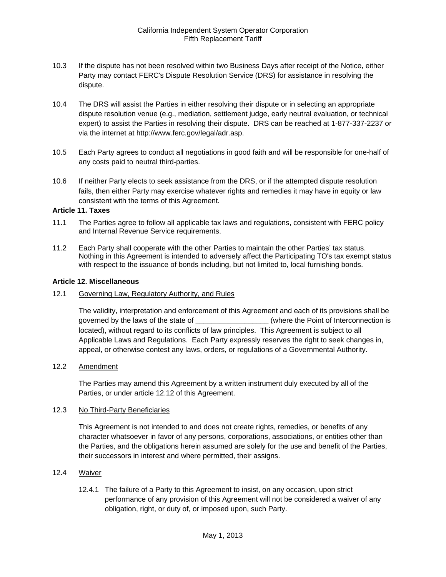- 10.3 If the dispute has not been resolved within two Business Days after receipt of the Notice, either Party may contact FERC's Dispute Resolution Service (DRS) for assistance in resolving the dispute.
- 10.4 The DRS will assist the Parties in either resolving their dispute or in selecting an appropriate dispute resolution venue (e.g., mediation, settlement judge, early neutral evaluation, or technical expert) to assist the Parties in resolving their dispute. DRS can be reached at 1-877-337-2237 or via the internet at http://www.ferc.gov/legal/adr.asp.
- 10.5 Each Party agrees to conduct all negotiations in good faith and will be responsible for one-half of any costs paid to neutral third-parties.
- 10.6 If neither Party elects to seek assistance from the DRS, or if the attempted dispute resolution fails, then either Party may exercise whatever rights and remedies it may have in equity or law consistent with the terms of this Agreement.

#### **Article 11. Taxes**

- 11.1 The Parties agree to follow all applicable tax laws and regulations, consistent with FERC policy and Internal Revenue Service requirements.
- 11.2 Each Party shall cooperate with the other Parties to maintain the other Parties' tax status. Nothing in this Agreement is intended to adversely affect the Participating TO's tax exempt status with respect to the issuance of bonds including, but not limited to, local furnishing bonds.

#### **Article 12. Miscellaneous**

12.1 Governing Law, Regulatory Authority, and Rules

The validity, interpretation and enforcement of this Agreement and each of its provisions shall be governed by the laws of the state of \_\_\_\_\_\_\_\_\_\_\_\_\_\_\_\_\_\_\_\_\_(where the Point of Interconnection is located), without regard to its conflicts of law principles. This Agreement is subject to all Applicable Laws and Regulations. Each Party expressly reserves the right to seek changes in, appeal, or otherwise contest any laws, orders, or regulations of a Governmental Authority.

# 12.2 Amendment

The Parties may amend this Agreement by a written instrument duly executed by all of the Parties, or under article 12.12 of this Agreement.

#### 12.3 No Third-Party Beneficiaries

This Agreement is not intended to and does not create rights, remedies, or benefits of any character whatsoever in favor of any persons, corporations, associations, or entities other than the Parties, and the obligations herein assumed are solely for the use and benefit of the Parties, their successors in interest and where permitted, their assigns.

# 12.4 Waiver

12.4.1 The failure of a Party to this Agreement to insist, on any occasion, upon strict performance of any provision of this Agreement will not be considered a waiver of any obligation, right, or duty of, or imposed upon, such Party.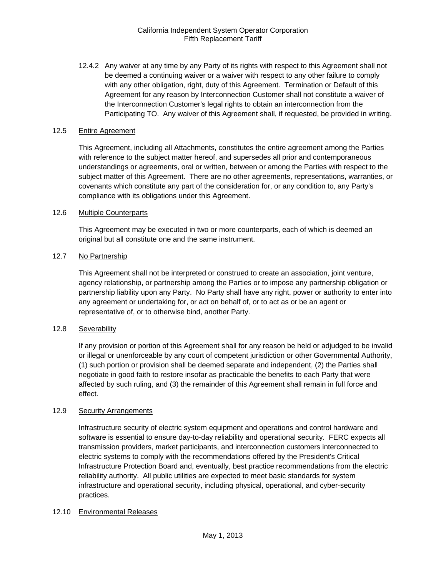12.4.2 Any waiver at any time by any Party of its rights with respect to this Agreement shall not be deemed a continuing waiver or a waiver with respect to any other failure to comply with any other obligation, right, duty of this Agreement. Termination or Default of this Agreement for any reason by Interconnection Customer shall not constitute a waiver of the Interconnection Customer's legal rights to obtain an interconnection from the Participating TO. Any waiver of this Agreement shall, if requested, be provided in writing.

# 12.5 Entire Agreement

This Agreement, including all Attachments, constitutes the entire agreement among the Parties with reference to the subject matter hereof, and supersedes all prior and contemporaneous understandings or agreements, oral or written, between or among the Parties with respect to the subject matter of this Agreement. There are no other agreements, representations, warranties, or covenants which constitute any part of the consideration for, or any condition to, any Party's compliance with its obligations under this Agreement.

#### 12.6 Multiple Counterparts

This Agreement may be executed in two or more counterparts, each of which is deemed an original but all constitute one and the same instrument.

# 12.7 No Partnership

This Agreement shall not be interpreted or construed to create an association, joint venture, agency relationship, or partnership among the Parties or to impose any partnership obligation or partnership liability upon any Party. No Party shall have any right, power or authority to enter into any agreement or undertaking for, or act on behalf of, or to act as or be an agent or representative of, or to otherwise bind, another Party.

# 12.8 Severability

If any provision or portion of this Agreement shall for any reason be held or adjudged to be invalid or illegal or unenforceable by any court of competent jurisdiction or other Governmental Authority, (1) such portion or provision shall be deemed separate and independent, (2) the Parties shall negotiate in good faith to restore insofar as practicable the benefits to each Party that were affected by such ruling, and (3) the remainder of this Agreement shall remain in full force and effect.

#### 12.9 Security Arrangements

Infrastructure security of electric system equipment and operations and control hardware and software is essential to ensure day-to-day reliability and operational security. FERC expects all transmission providers, market participants, and interconnection customers interconnected to electric systems to comply with the recommendations offered by the President's Critical Infrastructure Protection Board and, eventually, best practice recommendations from the electric reliability authority. All public utilities are expected to meet basic standards for system infrastructure and operational security, including physical, operational, and cyber-security practices.

#### 12.10 Environmental Releases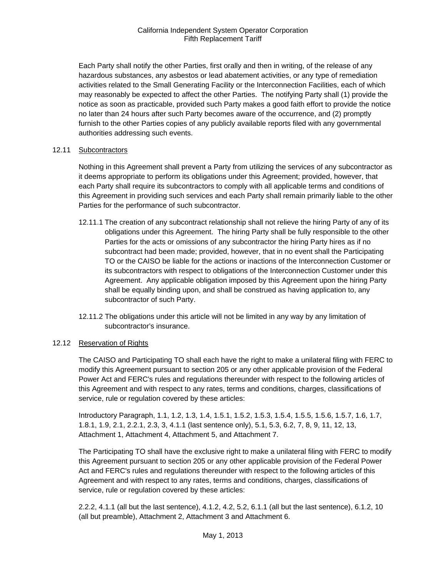Each Party shall notify the other Parties, first orally and then in writing, of the release of any hazardous substances, any asbestos or lead abatement activities, or any type of remediation activities related to the Small Generating Facility or the Interconnection Facilities, each of which may reasonably be expected to affect the other Parties. The notifying Party shall (1) provide the notice as soon as practicable, provided such Party makes a good faith effort to provide the notice no later than 24 hours after such Party becomes aware of the occurrence, and (2) promptly furnish to the other Parties copies of any publicly available reports filed with any governmental authorities addressing such events.

#### 12.11 Subcontractors

Nothing in this Agreement shall prevent a Party from utilizing the services of any subcontractor as it deems appropriate to perform its obligations under this Agreement; provided, however, that each Party shall require its subcontractors to comply with all applicable terms and conditions of this Agreement in providing such services and each Party shall remain primarily liable to the other Parties for the performance of such subcontractor.

- 12.11.1 The creation of any subcontract relationship shall not relieve the hiring Party of any of its obligations under this Agreement. The hiring Party shall be fully responsible to the other Parties for the acts or omissions of any subcontractor the hiring Party hires as if no subcontract had been made; provided, however, that in no event shall the Participating TO or the CAISO be liable for the actions or inactions of the Interconnection Customer or its subcontractors with respect to obligations of the Interconnection Customer under this Agreement. Any applicable obligation imposed by this Agreement upon the hiring Party shall be equally binding upon, and shall be construed as having application to, any subcontractor of such Party.
- 12.11.2 The obligations under this article will not be limited in any way by any limitation of subcontractor's insurance.

# 12.12 Reservation of Rights

The CAISO and Participating TO shall each have the right to make a unilateral filing with FERC to modify this Agreement pursuant to section 205 or any other applicable provision of the Federal Power Act and FERC's rules and regulations thereunder with respect to the following articles of this Agreement and with respect to any rates, terms and conditions, charges, classifications of service, rule or regulation covered by these articles:

Introductory Paragraph, 1.1, 1.2, 1.3, 1.4, 1.5.1, 1.5.2, 1.5.3, 1.5.4, 1.5.5, 1.5.6, 1.5.7, 1.6, 1.7, 1.8.1, 1.9, 2.1, 2.2.1, 2.3, 3, 4.1.1 (last sentence only), 5.1, 5.3, 6.2, 7, 8, 9, 11, 12, 13, Attachment 1, Attachment 4, Attachment 5, and Attachment 7.

The Participating TO shall have the exclusive right to make a unilateral filing with FERC to modify this Agreement pursuant to section 205 or any other applicable provision of the Federal Power Act and FERC's rules and regulations thereunder with respect to the following articles of this Agreement and with respect to any rates, terms and conditions, charges, classifications of service, rule or regulation covered by these articles:

2.2.2, 4.1.1 (all but the last sentence), 4.1.2, 4.2, 5.2, 6.1.1 (all but the last sentence), 6.1.2, 10 (all but preamble), Attachment 2, Attachment 3 and Attachment 6.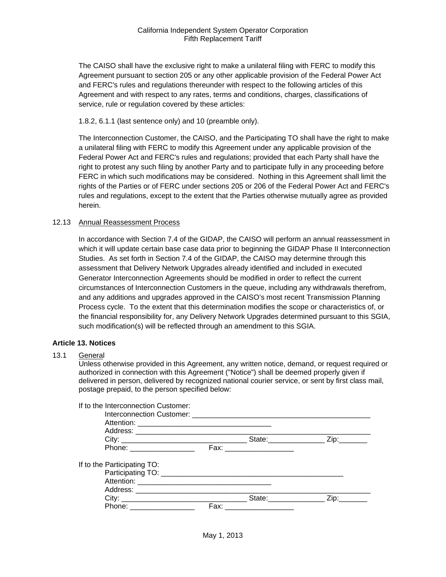The CAISO shall have the exclusive right to make a unilateral filing with FERC to modify this Agreement pursuant to section 205 or any other applicable provision of the Federal Power Act and FERC's rules and regulations thereunder with respect to the following articles of this Agreement and with respect to any rates, terms and conditions, charges, classifications of service, rule or regulation covered by these articles:

1.8.2, 6.1.1 (last sentence only) and 10 (preamble only).

The Interconnection Customer, the CAISO, and the Participating TO shall have the right to make a unilateral filing with FERC to modify this Agreement under any applicable provision of the Federal Power Act and FERC's rules and regulations; provided that each Party shall have the right to protest any such filing by another Party and to participate fully in any proceeding before FERC in which such modifications may be considered. Nothing in this Agreement shall limit the rights of the Parties or of FERC under sections 205 or 206 of the Federal Power Act and FERC's rules and regulations, except to the extent that the Parties otherwise mutually agree as provided herein.

#### 12.13 Annual Reassessment Process

In accordance with Section 7.4 of the GIDAP, the CAISO will perform an annual reassessment in which it will update certain base case data prior to beginning the GIDAP Phase II Interconnection Studies. As set forth in Section 7.4 of the GIDAP, the CAISO may determine through this assessment that Delivery Network Upgrades already identified and included in executed Generator Interconnection Agreements should be modified in order to reflect the current circumstances of Interconnection Customers in the queue, including any withdrawals therefrom, and any additions and upgrades approved in the CAISO's most recent Transmission Planning Process cycle. To the extent that this determination modifies the scope or characteristics of, or the financial responsibility for, any Delivery Network Upgrades determined pursuant to this SGIA, such modification(s) will be reflected through an amendment to this SGIA.

#### **Article 13. Notices**

#### 13.1 General

Unless otherwise provided in this Agreement, any written notice, demand, or request required or authorized in connection with this Agreement ("Notice") shall be deemed properly given if delivered in person, delivered by recognized national courier service, or sent by first class mail, postage prepaid, to the person specified below:

| If to the Interconnection Customer: |      |                          |             |
|-------------------------------------|------|--------------------------|-------------|
|                                     |      |                          |             |
|                                     |      |                          |             |
|                                     |      |                          |             |
|                                     |      |                          |             |
| Phone: __________________           |      | Fax: ___________________ |             |
| If to the Participating TO:         |      |                          |             |
|                                     |      |                          |             |
|                                     |      |                          |             |
|                                     |      |                          |             |
|                                     |      |                          | State: Zip: |
| Phone: __________________           | Fax: |                          |             |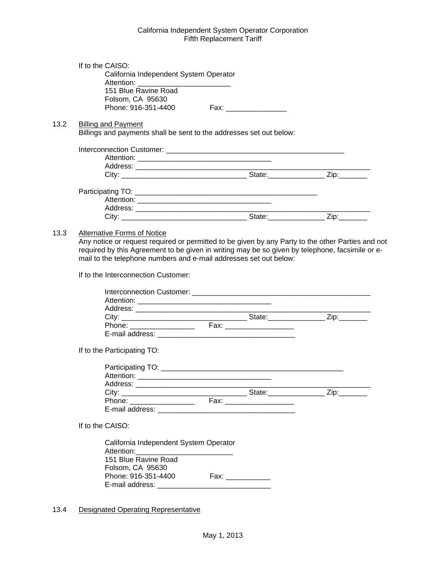|      | If to the CAISO:<br>California Independent System Operator                                                                              |  |  |
|------|-----------------------------------------------------------------------------------------------------------------------------------------|--|--|
|      |                                                                                                                                         |  |  |
|      | 151 Blue Ravine Road                                                                                                                    |  |  |
|      | Folsom, CA 95630                                                                                                                        |  |  |
|      | Phone: 916-351-4400                                                                                                                     |  |  |
| 13.2 | <b>Billing and Payment</b>                                                                                                              |  |  |
|      | Billings and payments shall be sent to the addresses set out below:                                                                     |  |  |
|      |                                                                                                                                         |  |  |
|      |                                                                                                                                         |  |  |
|      |                                                                                                                                         |  |  |
|      |                                                                                                                                         |  |  |
|      |                                                                                                                                         |  |  |
|      |                                                                                                                                         |  |  |
|      |                                                                                                                                         |  |  |
|      |                                                                                                                                         |  |  |
|      |                                                                                                                                         |  |  |
| 13.3 | <b>Alternative Forms of Notice</b><br>Any notice or request required or permitted to be given by any Party to the other Parties and not |  |  |
|      | required by this Agreement to be given in writing may be so given by telephone, facsimile or e-                                         |  |  |
|      | mail to the telephone numbers and e-mail addresses set out below:                                                                       |  |  |
|      | If to the Interconnection Customer:                                                                                                     |  |  |
|      |                                                                                                                                         |  |  |
|      |                                                                                                                                         |  |  |
|      |                                                                                                                                         |  |  |
|      |                                                                                                                                         |  |  |
|      |                                                                                                                                         |  |  |
|      |                                                                                                                                         |  |  |
|      |                                                                                                                                         |  |  |
|      | If to the Participating TO:                                                                                                             |  |  |
|      |                                                                                                                                         |  |  |
|      |                                                                                                                                         |  |  |
|      |                                                                                                                                         |  |  |
|      | Address: __                                                                                                                             |  |  |
|      |                                                                                                                                         |  |  |
|      |                                                                                                                                         |  |  |
|      |                                                                                                                                         |  |  |
|      | If to the CAISO:                                                                                                                        |  |  |
|      |                                                                                                                                         |  |  |
|      | California Independent System Operator                                                                                                  |  |  |
|      | Attention:                                                                                                                              |  |  |
|      | 151 Blue Ravine Road                                                                                                                    |  |  |
|      | Folsom, CA 95630                                                                                                                        |  |  |
|      | Phone: 916-351-4400                                                                                                                     |  |  |
|      |                                                                                                                                         |  |  |
|      |                                                                                                                                         |  |  |

# 13.4 Designated Operating Representative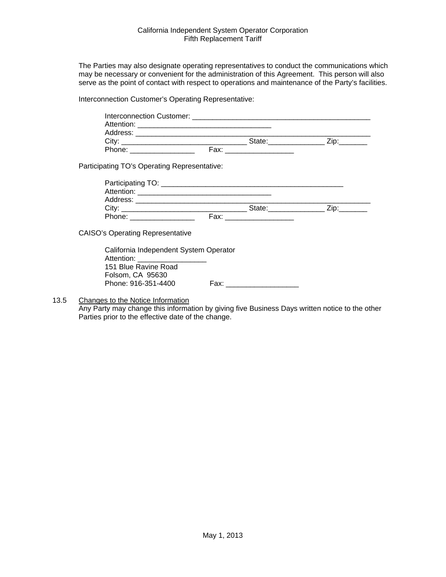The Parties may also designate operating representatives to conduct the communications which may be necessary or convenient for the administration of this Agreement. This person will also serve as the point of contact with respect to operations and maintenance of the Party's facilities.

Interconnection Customer's Operating Representative:

|                   | Interconnection Customer: The Contract of Customers and Customers and Customers and Customers and Customers and Customers and Customers and Customers and Customers and Customers and Customers and Customers and Customers an |  |
|-------------------|--------------------------------------------------------------------------------------------------------------------------------------------------------------------------------------------------------------------------------|--|
| Attention:        |                                                                                                                                                                                                                                |  |
| Address:          |                                                                                                                                                                                                                                |  |
| City <sup>-</sup> | State:                                                                                                                                                                                                                         |  |
| Phone:            | Fax:                                                                                                                                                                                                                           |  |
|                   |                                                                                                                                                                                                                                |  |

Participating TO's Operating Representative:

| Participating TO: __ |      |        |  |
|----------------------|------|--------|--|
| Attention:           |      |        |  |
| Address:             |      |        |  |
| City:                |      | State: |  |
| Phone:               | Fax: |        |  |

CAISO's Operating Representative

California Independent System Operator Attention: 151 Blue Ravine Road Folsom, CA 95630 Phone: 916-351-4400 Fax: \_\_\_\_\_\_\_\_\_\_\_\_\_\_\_\_\_\_

13.5 Changes to the Notice Information

Any Party may change this information by giving five Business Days written notice to the other Parties prior to the effective date of the change.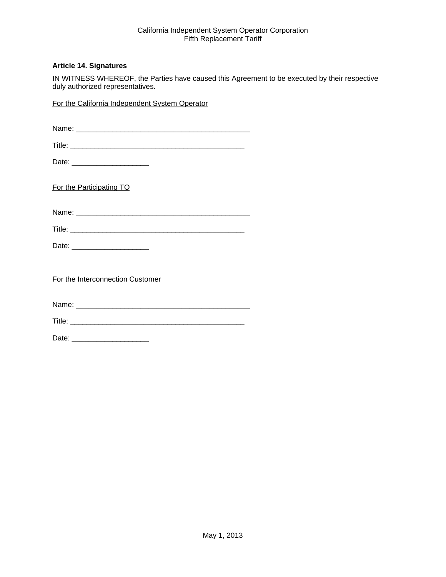# **Article 14. Signatures**

IN WITNESS WHEREOF, the Parties have caused this Agreement to be executed by their respective duly authorized representatives.

For the California Independent System Operator

| Date: _______________________    |
|----------------------------------|
| For the Participating TO         |
|                                  |
|                                  |
| Date: ________________________   |
| For the Interconnection Customer |
|                                  |
|                                  |
|                                  |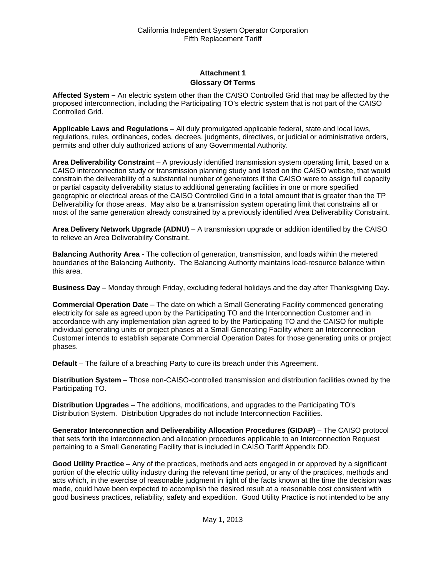# **Attachment 1 Glossary Of Terms**

**Affected System –** An electric system other than the CAISO Controlled Grid that may be affected by the proposed interconnection, including the Participating TO's electric system that is not part of the CAISO Controlled Grid.

**Applicable Laws and Regulations** – All duly promulgated applicable federal, state and local laws, regulations, rules, ordinances, codes, decrees, judgments, directives, or judicial or administrative orders, permits and other duly authorized actions of any Governmental Authority.

**Area Deliverability Constraint** – A previously identified transmission system operating limit, based on a CAISO interconnection study or transmission planning study and listed on the CAISO website, that would constrain the deliverability of a substantial number of generators if the CAISO were to assign full capacity or partial capacity deliverability status to additional generating facilities in one or more specified geographic or electrical areas of the CAISO Controlled Grid in a total amount that is greater than the TP Deliverability for those areas. May also be a transmission system operating limit that constrains all or most of the same generation already constrained by a previously identified Area Deliverability Constraint.

**Area Delivery Network Upgrade (ADNU)** – A transmission upgrade or addition identified by the CAISO to relieve an Area Deliverability Constraint.

**Balancing Authority Area** - The collection of generation, transmission, and loads within the metered boundaries of the Balancing Authority. The Balancing Authority maintains load-resource balance within this area.

**Business Day –** Monday through Friday, excluding federal holidays and the day after Thanksgiving Day.

**Commercial Operation Date** – The date on which a Small Generating Facility commenced generating electricity for sale as agreed upon by the Participating TO and the Interconnection Customer and in accordance with any implementation plan agreed to by the Participating TO and the CAISO for multiple individual generating units or project phases at a Small Generating Facility where an Interconnection Customer intends to establish separate Commercial Operation Dates for those generating units or project phases.

**Default** – The failure of a breaching Party to cure its breach under this Agreement.

**Distribution System** – Those non-CAISO-controlled transmission and distribution facilities owned by the Participating TO.

**Distribution Upgrades** – The additions, modifications, and upgrades to the Participating TO's Distribution System. Distribution Upgrades do not include Interconnection Facilities.

**Generator Interconnection and Deliverability Allocation Procedures (GIDAP)** – The CAISO protocol that sets forth the interconnection and allocation procedures applicable to an Interconnection Request pertaining to a Small Generating Facility that is included in CAISO Tariff Appendix DD.

**Good Utility Practice** – Any of the practices, methods and acts engaged in or approved by a significant portion of the electric utility industry during the relevant time period, or any of the practices, methods and acts which, in the exercise of reasonable judgment in light of the facts known at the time the decision was made, could have been expected to accomplish the desired result at a reasonable cost consistent with good business practices, reliability, safety and expedition. Good Utility Practice is not intended to be any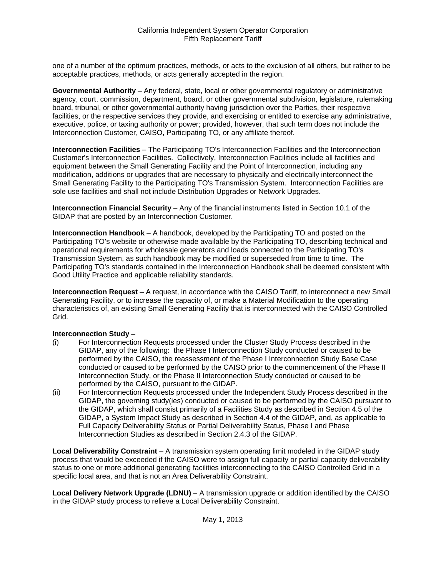one of a number of the optimum practices, methods, or acts to the exclusion of all others, but rather to be acceptable practices, methods, or acts generally accepted in the region.

**Governmental Authority** – Any federal, state, local or other governmental regulatory or administrative agency, court, commission, department, board, or other governmental subdivision, legislature, rulemaking board, tribunal, or other governmental authority having jurisdiction over the Parties, their respective facilities, or the respective services they provide, and exercising or entitled to exercise any administrative, executive, police, or taxing authority or power; provided, however, that such term does not include the Interconnection Customer, CAISO, Participating TO, or any affiliate thereof.

**Interconnection Facilities** – The Participating TO's Interconnection Facilities and the Interconnection Customer's Interconnection Facilities. Collectively, Interconnection Facilities include all facilities and equipment between the Small Generating Facility and the Point of Interconnection, including any modification, additions or upgrades that are necessary to physically and electrically interconnect the Small Generating Facility to the Participating TO's Transmission System. Interconnection Facilities are sole use facilities and shall not include Distribution Upgrades or Network Upgrades.

**Interconnection Financial Security** – Any of the financial instruments listed in Section 10.1 of the GIDAP that are posted by an Interconnection Customer.

**Interconnection Handbook** – A handbook, developed by the Participating TO and posted on the Participating TO's website or otherwise made available by the Participating TO, describing technical and operational requirements for wholesale generators and loads connected to the Participating TO's Transmission System, as such handbook may be modified or superseded from time to time. The Participating TO's standards contained in the Interconnection Handbook shall be deemed consistent with Good Utility Practice and applicable reliability standards.

**Interconnection Request** – A request, in accordance with the CAISO Tariff, to interconnect a new Small Generating Facility, or to increase the capacity of, or make a Material Modification to the operating characteristics of, an existing Small Generating Facility that is interconnected with the CAISO Controlled Grid.

# **Interconnection Study** –

- (i) For Interconnection Requests processed under the Cluster Study Process described in the GIDAP, any of the following: the Phase I Interconnection Study conducted or caused to be performed by the CAISO, the reassessment of the Phase I Interconnection Study Base Case conducted or caused to be performed by the CAISO prior to the commencement of the Phase II Interconnection Study, or the Phase II Interconnection Study conducted or caused to be performed by the CAISO, pursuant to the GIDAP.
- (ii) For Interconnection Requests processed under the Independent Study Process described in the GIDAP, the governing study(ies) conducted or caused to be performed by the CAISO pursuant to the GIDAP, which shall consist primarily of a Facilities Study as described in Section 4.5 of the GIDAP, a System Impact Study as described in Section 4.4 of the GIDAP, and, as applicable to Full Capacity Deliverability Status or Partial Deliverability Status, Phase I and Phase Interconnection Studies as described in Section 2.4.3 of the GIDAP.

**Local Deliverability Constraint** – A transmission system operating limit modeled in the GIDAP study process that would be exceeded if the CAISO were to assign full capacity or partial capacity deliverability status to one or more additional generating facilities interconnecting to the CAISO Controlled Grid in a specific local area, and that is not an Area Deliverability Constraint.

**Local Delivery Network Upgrade (LDNU)** – A transmission upgrade or addition identified by the CAISO in the GIDAP study process to relieve a Local Deliverability Constraint.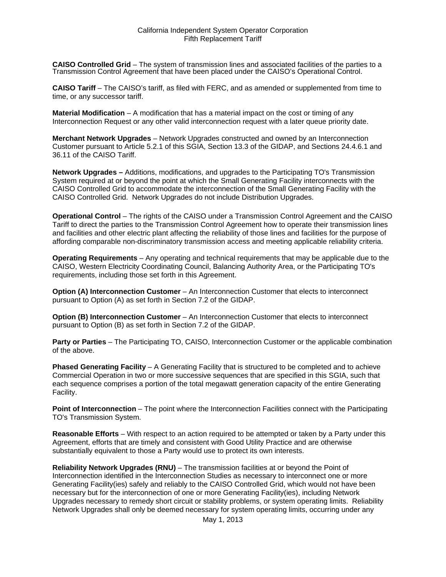**CAISO Controlled Grid** – The system of transmission lines and associated facilities of the parties to a Transmission Control Agreement that have been placed under the CAISO's Operational Control.

**CAISO Tariff** – The CAISO's tariff, as filed with FERC, and as amended or supplemented from time to time, or any successor tariff.

**Material Modification** – A modification that has a material impact on the cost or timing of any Interconnection Request or any other valid interconnection request with a later queue priority date.

**Merchant Network Upgrades** – Network Upgrades constructed and owned by an Interconnection Customer pursuant to Article 5.2.1 of this SGIA, Section 13.3 of the GIDAP, and Sections 24.4.6.1 and 36.11 of the CAISO Tariff.

**Network Upgrades –** Additions, modifications, and upgrades to the Participating TO's Transmission System required at or beyond the point at which the Small Generating Facility interconnects with the CAISO Controlled Grid to accommodate the interconnection of the Small Generating Facility with the CAISO Controlled Grid. Network Upgrades do not include Distribution Upgrades.

**Operational Control** – The rights of the CAISO under a Transmission Control Agreement and the CAISO Tariff to direct the parties to the Transmission Control Agreement how to operate their transmission lines and facilities and other electric plant affecting the reliability of those lines and facilities for the purpose of affording comparable non-discriminatory transmission access and meeting applicable reliability criteria.

**Operating Requirements** – Any operating and technical requirements that may be applicable due to the CAISO, Western Electricity Coordinating Council, Balancing Authority Area, or the Participating TO's requirements, including those set forth in this Agreement.

**Option (A) Interconnection Customer** – An Interconnection Customer that elects to interconnect pursuant to Option (A) as set forth in Section 7.2 of the GIDAP.

**Option (B) Interconnection Customer** – An Interconnection Customer that elects to interconnect pursuant to Option (B) as set forth in Section 7.2 of the GIDAP.

**Party or Parties** – The Participating TO, CAISO, Interconnection Customer or the applicable combination of the above.

**Phased Generating Facility** – A Generating Facility that is structured to be completed and to achieve Commercial Operation in two or more successive sequences that are specified in this SGIA, such that each sequence comprises a portion of the total megawatt generation capacity of the entire Generating Facility.

**Point of Interconnection** – The point where the Interconnection Facilities connect with the Participating TO's Transmission System.

**Reasonable Efforts** – With respect to an action required to be attempted or taken by a Party under this Agreement, efforts that are timely and consistent with Good Utility Practice and are otherwise substantially equivalent to those a Party would use to protect its own interests.

**Reliability Network Upgrades (RNU)** – The transmission facilities at or beyond the Point of Interconnection identified in the Interconnection Studies as necessary to interconnect one or more Generating Facility(ies) safely and reliably to the CAISO Controlled Grid, which would not have been necessary but for the interconnection of one or more Generating Facility(ies), including Network Upgrades necessary to remedy short circuit or stability problems, or system operating limits. Reliability Network Upgrades shall only be deemed necessary for system operating limits, occurring under any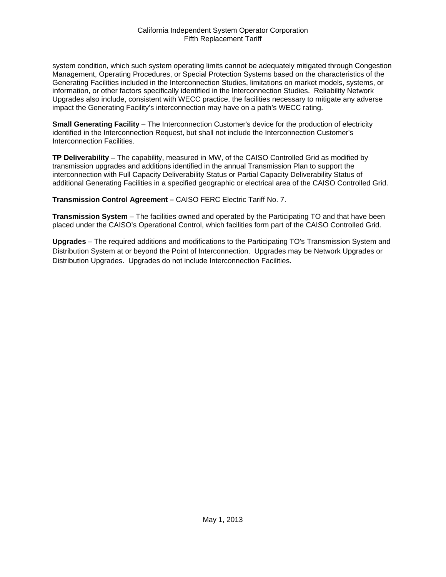system condition, which such system operating limits cannot be adequately mitigated through Congestion Management, Operating Procedures, or Special Protection Systems based on the characteristics of the Generating Facilities included in the Interconnection Studies, limitations on market models, systems, or information, or other factors specifically identified in the Interconnection Studies. Reliability Network Upgrades also include, consistent with WECC practice, the facilities necessary to mitigate any adverse impact the Generating Facility's interconnection may have on a path's WECC rating.

**Small Generating Facility** – The Interconnection Customer's device for the production of electricity identified in the Interconnection Request, but shall not include the Interconnection Customer's Interconnection Facilities.

**TP Deliverability** – The capability, measured in MW, of the CAISO Controlled Grid as modified by transmission upgrades and additions identified in the annual Transmission Plan to support the interconnection with Full Capacity Deliverability Status or Partial Capacity Deliverability Status of additional Generating Facilities in a specified geographic or electrical area of the CAISO Controlled Grid.

**Transmission Control Agreement –** CAISO FERC Electric Tariff No. 7.

**Transmission System** – The facilities owned and operated by the Participating TO and that have been placed under the CAISO's Operational Control, which facilities form part of the CAISO Controlled Grid.

**Upgrades** – The required additions and modifications to the Participating TO's Transmission System and Distribution System at or beyond the Point of Interconnection. Upgrades may be Network Upgrades or Distribution Upgrades. Upgrades do not include Interconnection Facilities.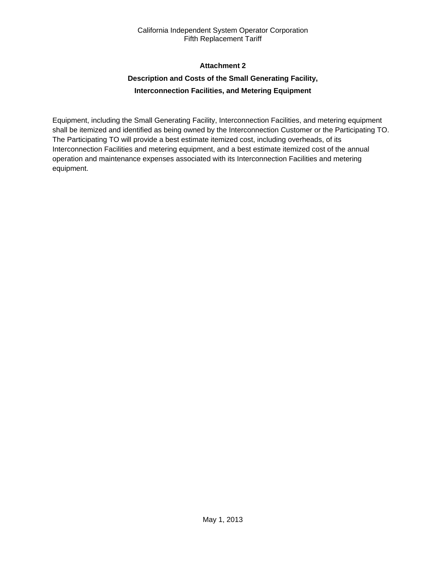# **Attachment 2**

# **Description and Costs of the Small Generating Facility, Interconnection Facilities, and Metering Equipment**

Equipment, including the Small Generating Facility, Interconnection Facilities, and metering equipment shall be itemized and identified as being owned by the Interconnection Customer or the Participating TO. The Participating TO will provide a best estimate itemized cost, including overheads, of its Interconnection Facilities and metering equipment, and a best estimate itemized cost of the annual operation and maintenance expenses associated with its Interconnection Facilities and metering equipment.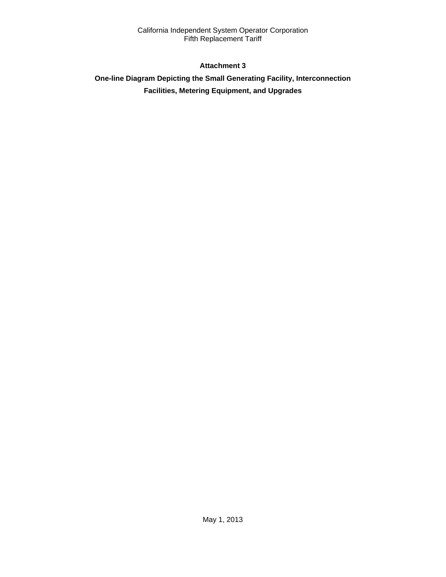# **Attachment 3**

# **One-line Diagram Depicting the Small Generating Facility, Interconnection Facilities, Metering Equipment, and Upgrades**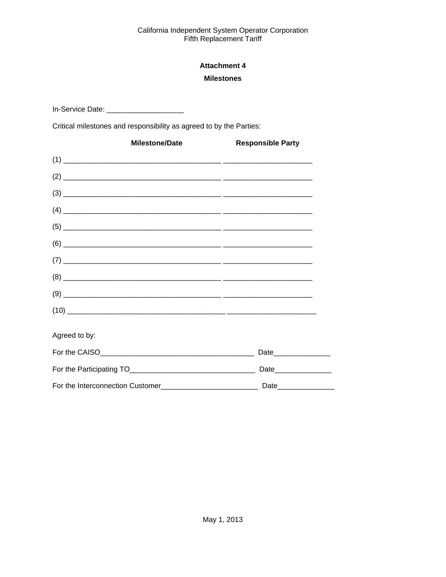# **Attachment 4 Milestones**

In-Service Date: \_\_\_\_\_\_\_\_\_\_\_\_\_\_\_\_\_\_\_\_\_\_

Critical milestones and responsibility as agreed to by the Parties:

| <b>Milestone/Date</b>                                                                                                                                                                                                                                                                                                                                      | <b>Responsible Party</b> |
|------------------------------------------------------------------------------------------------------------------------------------------------------------------------------------------------------------------------------------------------------------------------------------------------------------------------------------------------------------|--------------------------|
|                                                                                                                                                                                                                                                                                                                                                            |                          |
|                                                                                                                                                                                                                                                                                                                                                            |                          |
|                                                                                                                                                                                                                                                                                                                                                            |                          |
|                                                                                                                                                                                                                                                                                                                                                            |                          |
|                                                                                                                                                                                                                                                                                                                                                            |                          |
|                                                                                                                                                                                                                                                                                                                                                            |                          |
|                                                                                                                                                                                                                                                                                                                                                            |                          |
| $(8) \begin{tabular}{ l l l l } \hline \rule{0.2cm}{.01cm} \rule{0.2cm}{.01cm} \rule{0.2cm}{.01cm} \rule{0.2cm}{.01cm} \rule{0.2cm}{.01cm} \rule{0.2cm}{.01cm} \rule{0.2cm}{.01cm} \rule{0.2cm}{.01cm} \rule{0.2cm}{.01cm} \rule{0.2cm}{.01cm} \rule{0.2cm}{.01cm} \rule{0.2cm}{.01cm} \rule{0.2cm}{.01cm} \rule{0.2cm}{.01cm} \rule{0.2cm}{.01cm} \rule{$ |                          |
|                                                                                                                                                                                                                                                                                                                                                            |                          |
| $(10) \qquad \qquad \overbrace{\qquad \qquad }$                                                                                                                                                                                                                                                                                                            |                          |
| Agreed to by:                                                                                                                                                                                                                                                                                                                                              |                          |
|                                                                                                                                                                                                                                                                                                                                                            |                          |
|                                                                                                                                                                                                                                                                                                                                                            |                          |
|                                                                                                                                                                                                                                                                                                                                                            |                          |

 $\overline{\phantom{0}}$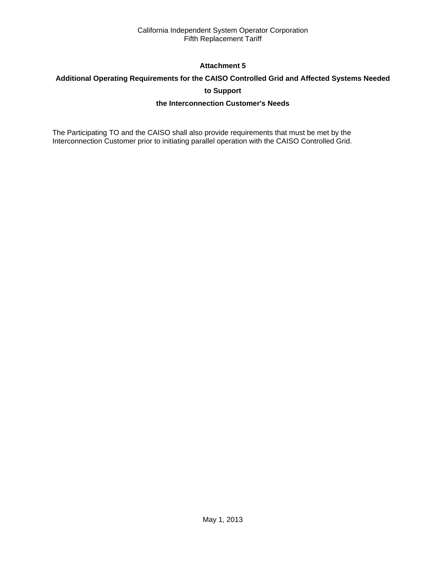# **Attachment 5**

# **Additional Operating Requirements for the CAISO Controlled Grid and Affected Systems Needed**

# **to Support**

# **the Interconnection Customer's Needs**

The Participating TO and the CAISO shall also provide requirements that must be met by the Interconnection Customer prior to initiating parallel operation with the CAISO Controlled Grid.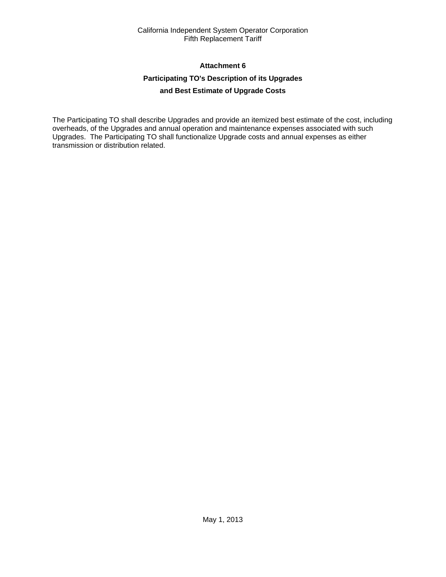# **Attachment 6**

# **Participating TO's Description of its Upgrades**

# **and Best Estimate of Upgrade Costs**

The Participating TO shall describe Upgrades and provide an itemized best estimate of the cost, including overheads, of the Upgrades and annual operation and maintenance expenses associated with such Upgrades. The Participating TO shall functionalize Upgrade costs and annual expenses as either transmission or distribution related.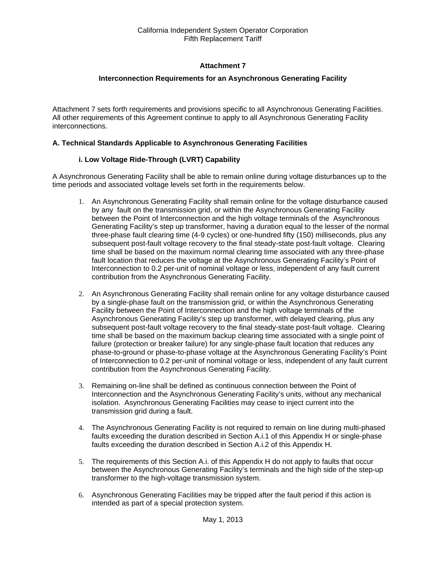# **Attachment 7**

# **Interconnection Requirements for an Asynchronous Generating Facility**

Attachment 7 sets forth requirements and provisions specific to all Asynchronous Generating Facilities. All other requirements of this Agreement continue to apply to all Asynchronous Generating Facility interconnections.

# **A. Technical Standards Applicable to Asynchronous Generating Facilities**

# **i. Low Voltage Ride-Through (LVRT) Capability**

A Asynchronous Generating Facility shall be able to remain online during voltage disturbances up to the time periods and associated voltage levels set forth in the requirements below.

- 1. An Asynchronous Generating Facility shall remain online for the voltage disturbance caused by any fault on the transmission grid, or within the Asynchronous Generating Facility between the Point of Interconnection and the high voltage terminals of the Asynchronous Generating Facility's step up transformer, having a duration equal to the lesser of the normal three-phase fault clearing time (4-9 cycles) or one-hundred fifty (150) milliseconds, plus any subsequent post-fault voltage recovery to the final steady-state post-fault voltage. Clearing time shall be based on the maximum normal clearing time associated with any three-phase fault location that reduces the voltage at the Asynchronous Generating Facility's Point of Interconnection to 0.2 per-unit of nominal voltage or less, independent of any fault current contribution from the Asynchronous Generating Facility.
- 2. An Asynchronous Generating Facility shall remain online for any voltage disturbance caused by a single-phase fault on the transmission grid, or within the Asynchronous Generating Facility between the Point of Interconnection and the high voltage terminals of the Asynchronous Generating Facility's step up transformer, with delayed clearing, plus any subsequent post-fault voltage recovery to the final steady-state post-fault voltage. Clearing time shall be based on the maximum backup clearing time associated with a single point of failure (protection or breaker failure) for any single-phase fault location that reduces any phase-to-ground or phase-to-phase voltage at the Asynchronous Generating Facility's Point of Interconnection to 0.2 per-unit of nominal voltage or less, independent of any fault current contribution from the Asynchronous Generating Facility.
- 3. Remaining on-line shall be defined as continuous connection between the Point of Interconnection and the Asynchronous Generating Facility's units, without any mechanical isolation. Asynchronous Generating Facilities may cease to inject current into the transmission grid during a fault.
- 4. The Asynchronous Generating Facility is not required to remain on line during multi-phased faults exceeding the duration described in Section A.i.1 of this Appendix H or single-phase faults exceeding the duration described in Section A.i.2 of this Appendix H.
- 5. The requirements of this Section A.i. of this Appendix H do not apply to faults that occur between the Asynchronous Generating Facility's terminals and the high side of the step-up transformer to the high-voltage transmission system.
- 6. Asynchronous Generating Facilities may be tripped after the fault period if this action is intended as part of a special protection system.